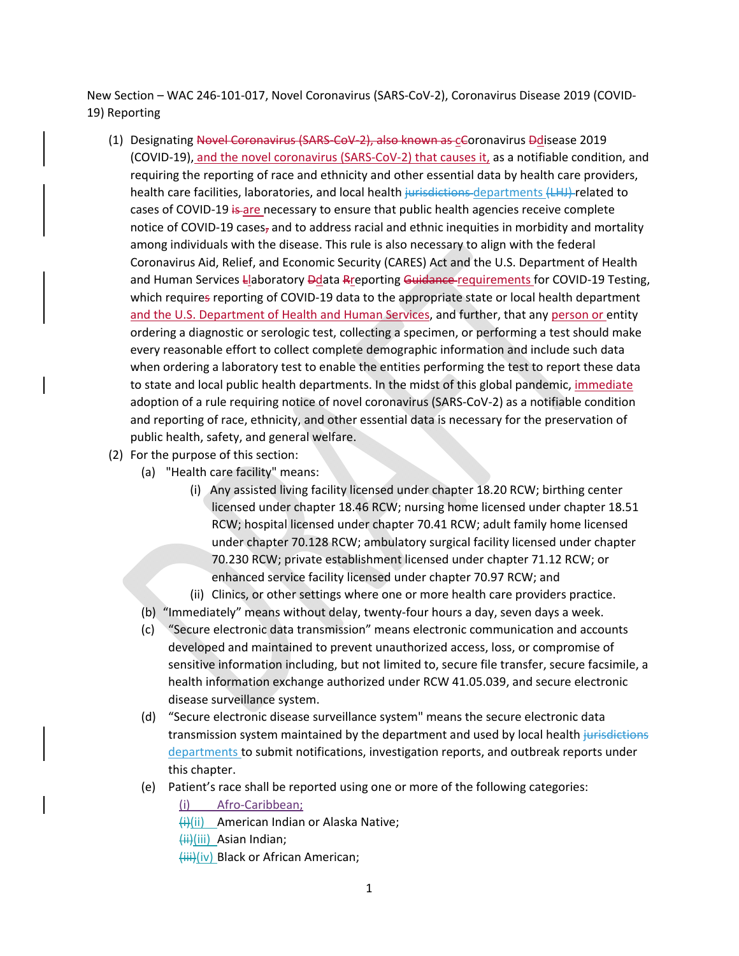New Section – WAC 246‐101‐017, Novel Coronavirus (SARS‐CoV‐2), Coronavirus Disease 2019 (COVID‐ 19) Reporting

- (1) Designating Novel Coronavirus (SARS-CoV-2), also known as cCoronavirus Ddisease 2019 (COVID‐19), and the novel coronavirus (SARS‐CoV‐2) that causes it, as a notifiable condition, and requiring the reporting of race and ethnicity and other essential data by health care providers, health care facilities, laboratories, and local health jurisdictions departments (LHJ) related to cases of COVID-19 is are necessary to ensure that public health agencies receive complete notice of COVID-19 cases<sub>7</sub> and to address racial and ethnic inequities in morbidity and mortality among individuals with the disease. This rule is also necessary to align with the federal Coronavirus Aid, Relief, and Economic Security (CARES) Act and the U.S. Department of Health and Human Services Llaboratory Ddata Rreporting Guidance requirements for COVID-19 Testing, which requires reporting of COVID-19 data to the appropriate state or local health department and the U.S. Department of Health and Human Services, and further, that any person or entity ordering a diagnostic or serologic test, collecting a specimen, or performing a test should make every reasonable effort to collect complete demographic information and include such data when ordering a laboratory test to enable the entities performing the test to report these data to state and local public health departments. In the midst of this global pandemic, immediate adoption of a rule requiring notice of novel coronavirus (SARS‐CoV‐2) as a notifiable condition and reporting of race, ethnicity, and other essential data is necessary for the preservation of public health, safety, and general welfare.
- (2) For the purpose of this section:
	- (a) "Health care facility" means:
		- (i) Any assisted living facility licensed under chapter 18.20 RCW; birthing center licensed under chapter 18.46 RCW; nursing home licensed under chapter 18.51 RCW; hospital licensed under chapter 70.41 RCW; adult family home licensed under chapter 70.128 RCW; ambulatory surgical facility licensed under chapter 70.230 RCW; private establishment licensed under chapter 71.12 RCW; or enhanced service facility licensed under chapter 70.97 RCW; and
		- (ii) Clinics, or other settings where one or more health care providers practice.
	- (b) "Immediately" means without delay, twenty‐four hours a day, seven days a week.
	- (c) "Secure electronic data transmission" means electronic communication and accounts developed and maintained to prevent unauthorized access, loss, or compromise of sensitive information including, but not limited to, secure file transfer, secure facsimile, a health information exchange authorized under RCW 41.05.039, and secure electronic disease surveillance system.
	- (d) "Secure electronic disease surveillance system" means the secure electronic data transmission system maintained by the department and used by local health jurisdictions departments to submit notifications, investigation reports, and outbreak reports under this chapter.
	- (e) Patient's race shall be reported using one or more of the following categories:
		- (i) Afro‐Caribbean;
		- $\overline{H}(ii)$  American Indian or Alaska Native;
		- (ii)(iii) Asian Indian;
		- (iii)(iv) Black or African American;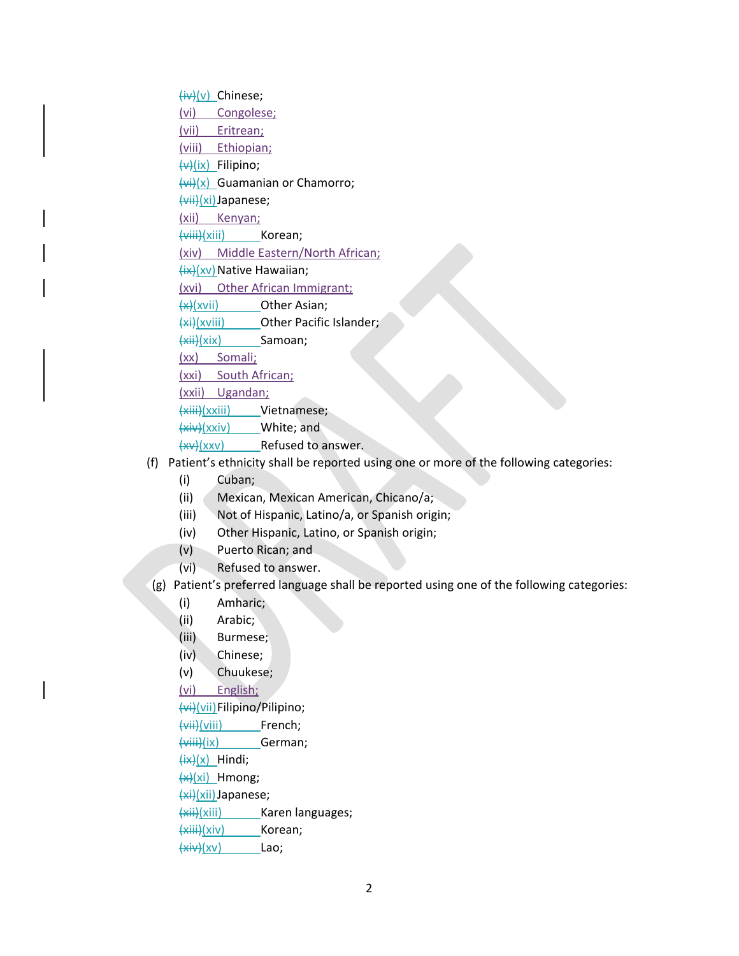(iv)(v) Chinese; (vi) Congolese; (vii) Eritrean; (viii) Ethiopian;  $(x)$  Filipino;  $(vi)(x)$  Guamanian or Chamorro; (vii)(xi)Japanese; (xii) Kenyan; (viii)(xiii) Korean; (xiv) Middle Eastern/North African; (ix)(xv) Native Hawaiian; (xvi) Other African Immigrant;  $\frac{f(x)}{f(x)}$  Other Asian; (xi)(xviii) Other Pacific Islander;  $\left\langle xii\right\rangle$ (xix) Samoan; (xx) Somali; (xxi) South African; (xxii) Ugandan; (xiii)(xxiii) Vietnamese;

(xiv)(xxiv) White; and

 $(xv)(xxv)$  Refused to answer.

- (f) Patient's ethnicity shall be reported using one or more of the following categories:
	- (i) Cuban;
	- (ii) Mexican, Mexican American, Chicano/a;
	- (iii) Not of Hispanic, Latino/a, or Spanish origin;
	- (iv) Other Hispanic, Latino, or Spanish origin;
	- (v) Puerto Rican; and
	- (vi) Refused to answer.
- (g) Patient's preferred language shall be reported using one of the following categories:
	- (i) Amharic;
	- (ii) Arabic;
	- (iii) Burmese;
	- (iv) Chinese;

(v) Chuukese;

(vi) English;

(vi)(vii)Filipino/Pilipino;

(vii)(viii) French;

(viii)(ix) German;

- $\frac{f(x)}{x}$  Hindi;
- $(x)$  Hmong;

(xi)(xii)Japanese;

(xii)(xiii) Karen languages;

(xiii)(xiv) Korean;

 $\overline{(xiv)(xv)}$  Lao;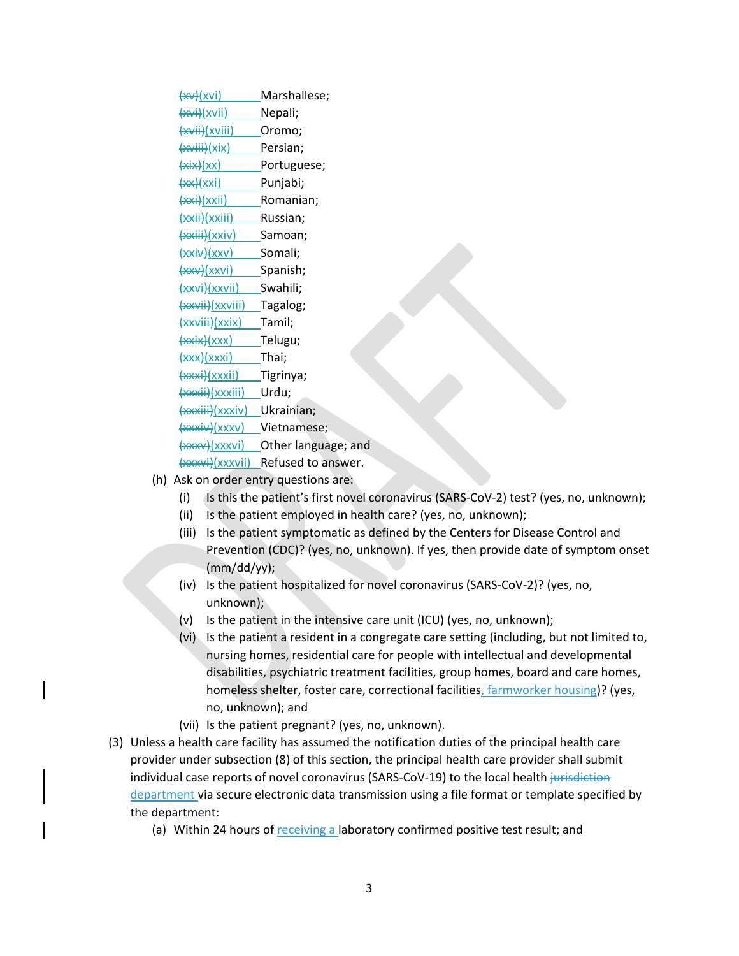$\left(\frac{xy}{xy}\right)$  Marshallese; (xvi)(xvii) Nepali; (xvii)(xviii) Oromo; (xviii)(xix) Persian;  $(xix)(xx)$  Portuguese; (xx)(xxi) Punjabi; (xxi)(xxii) Romanian; (xxii)(xxiii) Russian; (xxiii)(xxiv) Samoan; (xxiv)(xxv) Somali;  $\frac{f(x)}{f(x)}$  Spanish; (xxvi)(xxvii) Swahili; (xxvii)(xxviii) Tagalog; (xxviii)(xxix) Tamil; (xxix)(xxx) Telugu; (xxx)(xxxi) Thai; (xxxi)(xxxii) Tigrinya; (xxxii)(xxxiii) Urdu; (xxxiii)(xxxiv) Ukrainian; (xxxiv)(xxxv) Vietnamese; (xxxv)(xxxvi) Other language; and (xxxvi)(xxxvii) Refused to answer.

- (h) Ask on order entry questions are:
	- (i) Is this the patient's first novel coronavirus (SARS‐CoV‐2) test? (yes, no, unknown);
	- (ii) Is the patient employed in health care? (yes, no, unknown);
	- (iii) Is the patient symptomatic as defined by the Centers for Disease Control and Prevention (CDC)? (yes, no, unknown). If yes, then provide date of symptom onset (mm/dd/yy);
	- (iv) Is the patient hospitalized for novel coronavirus (SARS‐CoV‐2)? (yes, no, unknown);
	- (v) Is the patient in the intensive care unit (ICU) (yes, no, unknown);
	- (vi) Is the patient a resident in a congregate care setting (including, but not limited to, nursing homes, residential care for people with intellectual and developmental disabilities, psychiatric treatment facilities, group homes, board and care homes, homeless shelter, foster care, correctional facilities, farmworker housing)? (yes, no, unknown); and
	- (vii) Is the patient pregnant? (yes, no, unknown).
- (3) Unless a health care facility has assumed the notification duties of the principal health care provider under subsection (8) of this section, the principal health care provider shall submit individual case reports of novel coronavirus (SARS-CoV-19) to the local health jurisdiction department via secure electronic data transmission using a file format or template specified by the department:
	- (a) Within 24 hours of receiving a laboratory confirmed positive test result; and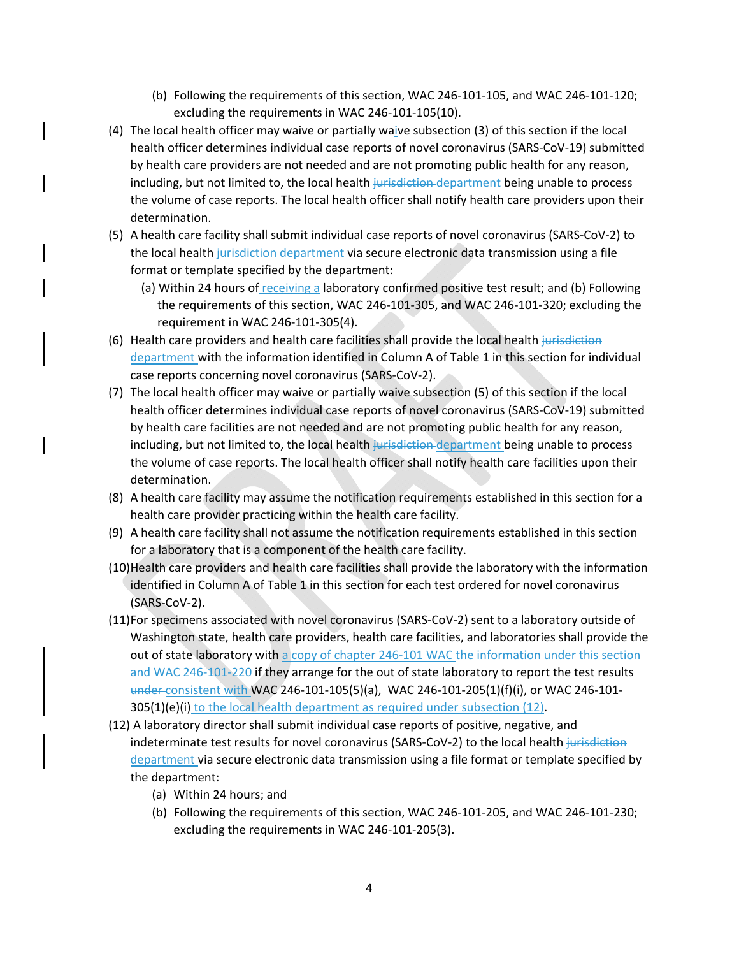- (b) Following the requirements of this section, WAC 246‐101‐105, and WAC 246‐101‐120; excluding the requirements in WAC 246‐101‐105(10).
- (4) The local health officer may waive or partially waive subsection (3) of this section if the local health officer determines individual case reports of novel coronavirus (SARS‐CoV‐19) submitted by health care providers are not needed and are not promoting public health for any reason, including, but not limited to, the local health jurisdiction-department being unable to process the volume of case reports. The local health officer shall notify health care providers upon their determination.
- (5) A health care facility shall submit individual case reports of novel coronavirus (SARS‐CoV‐2) to the local health jurisdiction department via secure electronic data transmission using a file format or template specified by the department:
	- (a) Within 24 hours of receiving a laboratory confirmed positive test result; and (b) Following the requirements of this section, WAC 246‐101‐305, and WAC 246‐101‐320; excluding the requirement in WAC 246‐101‐305(4).
- (6) Health care providers and health care facilities shall provide the local health jurisdiction department with the information identified in Column A of Table 1 in this section for individual case reports concerning novel coronavirus (SARS‐CoV‐2).
- (7) The local health officer may waive or partially waive subsection (5) of this section if the local health officer determines individual case reports of novel coronavirus (SARS‐CoV‐19) submitted by health care facilities are not needed and are not promoting public health for any reason, including, but not limited to, the local health jurisdiction-department being unable to process the volume of case reports. The local health officer shall notify health care facilities upon their determination.
- (8) A health care facility may assume the notification requirements established in this section for a health care provider practicing within the health care facility.
- (9) A health care facility shall not assume the notification requirements established in this section for a laboratory that is a component of the health care facility.
- (10)Health care providers and health care facilities shall provide the laboratory with the information identified in Column A of Table 1 in this section for each test ordered for novel coronavirus (SARS‐CoV‐2).
- (11)For specimens associated with novel coronavirus (SARS‐CoV‐2) sent to a laboratory outside of Washington state, health care providers, health care facilities, and laboratories shall provide the out of state laboratory with a copy of chapter 246-101 WAC the information under this section and WAC 246-101-220 if they arrange for the out of state laboratory to report the test results under consistent with WAC 246‐101‐105(5)(a), WAC 246‐101‐205(1)(f)(i), or WAC 246‐101‐ 305(1)(e)(i) to the local health department as required under subsection (12).
- (12) A laboratory director shall submit individual case reports of positive, negative, and indeterminate test results for novel coronavirus (SARS-CoV-2) to the local health jurisdiction department via secure electronic data transmission using a file format or template specified by the department:
	- (a) Within 24 hours; and
	- (b) Following the requirements of this section, WAC 246‐101‐205, and WAC 246‐101‐230; excluding the requirements in WAC 246‐101‐205(3).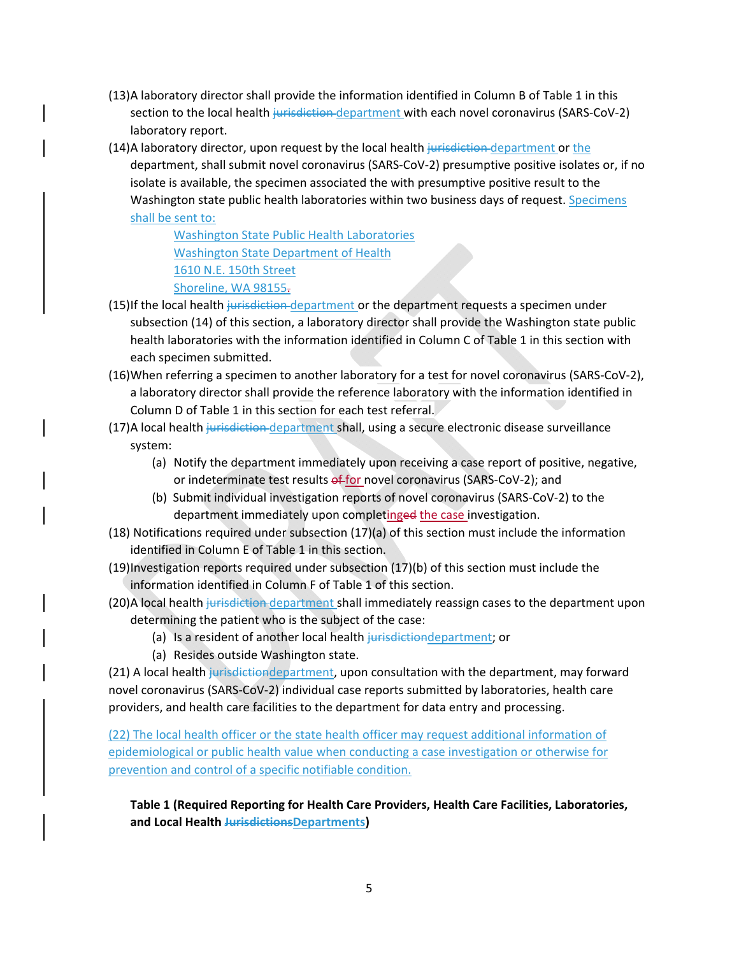- (13)A laboratory director shall provide the information identified in Column B of Table 1 in this section to the local health jurisdiction department with each novel coronavirus (SARS-CoV-2) laboratory report.
- (14)A laboratory director, upon request by the local health jurisdiction department or the department, shall submit novel coronavirus (SARS‐CoV‐2) presumptive positive isolates or, if no isolate is available, the specimen associated the with presumptive positive result to the Washington state public health laboratories within two business days of request. Specimens shall be sent to:

Washington State Public Health Laboratories Washington State Department of Health 1610 N.E. 150th Street Shoreline, WA 98155.

- (15)If the local health jurisdiction department or the department requests a specimen under subsection (14) of this section, a laboratory director shall provide the Washington state public health laboratories with the information identified in Column C of Table 1 in this section with each specimen submitted.
- (16)When referring a specimen to another laboratory for a test for novel coronavirus (SARS‐CoV‐2), a laboratory director shall provide the reference laboratory with the information identified in Column D of Table 1 in this section for each test referral.
- (17)A local health jurisdiction department shall, using a secure electronic disease surveillance system:
	- (a) Notify the department immediately upon receiving a case report of positive, negative, or indeterminate test results of for novel coronavirus (SARS-CoV-2); and
	- (b) Submit individual investigation reports of novel coronavirus (SARS‐CoV‐2) to the department immediately upon completinged the case investigation.
- (18) Notifications required under subsection (17)(a) of this section must include the information identified in Column E of Table 1 in this section.
- (19)Investigation reports required under subsection (17)(b) of this section must include the information identified in Column F of Table 1 of this section.
- (20)A local health jurisdiction department shall immediately reassign cases to the department upon determining the patient who is the subject of the case:
	- (a) Is a resident of another local health jurisdictiondepartment; or
	- (a) Resides outside Washington state.

(21) A local health jurisdictiondepartment, upon consultation with the department, may forward novel coronavirus (SARS‐CoV‐2) individual case reports submitted by laboratories, health care providers, and health care facilities to the department for data entry and processing.

(22) The local health officer or the state health officer may request additional information of epidemiological or public health value when conducting a case investigation or otherwise for prevention and control of a specific notifiable condition.

**Table 1 (Required Reporting for Health Care Providers, Health Care Facilities, Laboratories, and Local Health JurisdictionsDepartments)**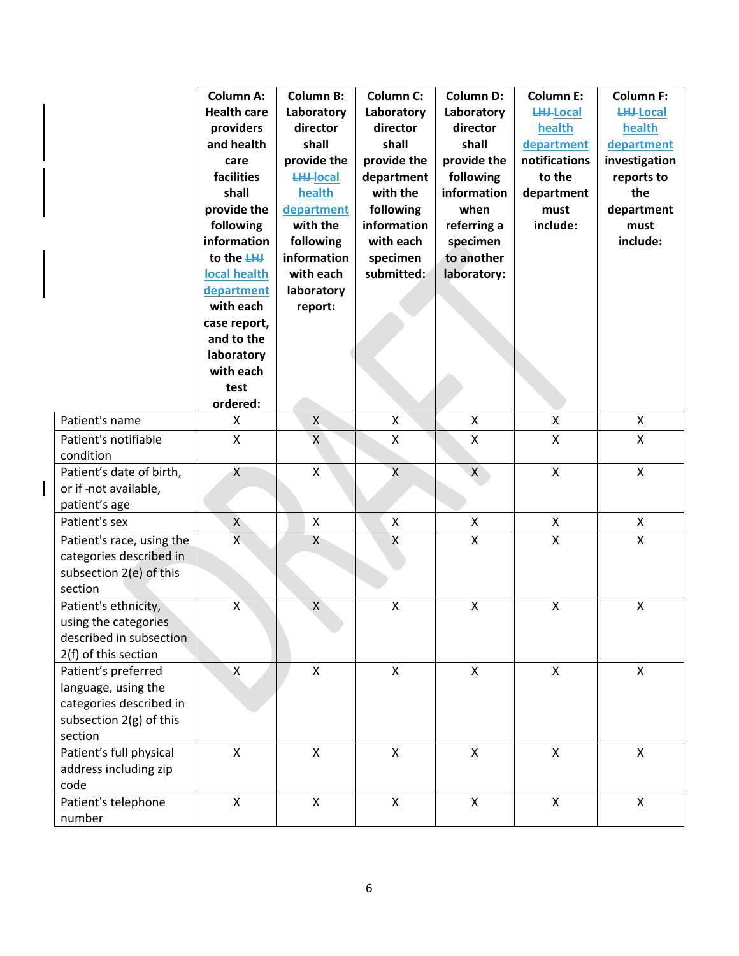|                           | <b>Column A:</b>   | <b>Column B:</b>   | <b>Column C:</b>          | <b>Column D:</b>   | <b>Column E:</b>   | <b>Column F:</b>   |
|---------------------------|--------------------|--------------------|---------------------------|--------------------|--------------------|--------------------|
|                           | <b>Health care</b> | Laboratory         | Laboratory                | Laboratory         | <b>LHJ-Local</b>   | <b>LHJ-Local</b>   |
|                           | providers          | director           | director                  | director           | health             | health             |
|                           | and health         | shall              | shall                     | shall              | department         | department         |
|                           | care               | provide the        | provide the               | provide the        | notifications      | investigation      |
|                           | facilities         | <b>LHJ-local</b>   | department                | following          | to the             | reports to         |
|                           | shall              | health             | with the                  | information        | department         | the                |
|                           | provide the        | department         | following                 | when               | must               | department         |
|                           | following          | with the           | information               | referring a        | include:           | must               |
|                           | information        | following          | with each                 | specimen           |                    | include:           |
|                           | to the LHJ         | information        | specimen                  | to another         |                    |                    |
|                           | local health       | with each          | submitted:                | laboratory:        |                    |                    |
|                           | department         | laboratory         |                           |                    |                    |                    |
|                           | with each          | report:            |                           |                    |                    |                    |
|                           | case report,       |                    |                           |                    |                    |                    |
|                           | and to the         |                    |                           |                    |                    |                    |
|                           | laboratory         |                    |                           |                    |                    |                    |
|                           | with each          |                    |                           |                    |                    |                    |
|                           | test               |                    |                           |                    |                    |                    |
|                           | ordered:           |                    |                           |                    |                    |                    |
| Patient's name            | X                  | $\mathsf{X}$       | $\pmb{\times}$            | X                  | $\pmb{\mathsf{X}}$ | $\pmb{\times}$     |
| Patient's notifiable      | $\pmb{\mathsf{X}}$ | $\pmb{\mathsf{X}}$ | $\boldsymbol{\mathsf{X}}$ | X                  | $\pmb{\mathsf{X}}$ | $\pmb{\times}$     |
| condition                 |                    |                    |                           |                    |                    |                    |
| Patient's date of birth,  | X                  | X                  | $\sf X$                   | $\mathsf{X}$       | $\mathsf X$        | $\pmb{\mathsf{X}}$ |
| or if-not available,      |                    |                    |                           |                    |                    |                    |
| patient's age             |                    |                    |                           |                    |                    |                    |
| Patient's sex             | X                  | X                  | $\boldsymbol{\mathsf{X}}$ | X                  | $\pmb{\mathsf{X}}$ | X                  |
| Patient's race, using the | $\mathsf{X}$       | Χ                  | Χ                         | X                  | $\pmb{\mathsf{X}}$ | $\pmb{\mathsf{X}}$ |
| categories described in   |                    |                    |                           |                    |                    |                    |
| subsection 2(e) of this   |                    |                    |                           |                    |                    |                    |
| section                   |                    |                    |                           |                    |                    |                    |
| Patient's ethnicity,      | Χ                  | $\pmb{\mathsf{X}}$ | X                         | $\pmb{\mathsf{X}}$ | $\pmb{\mathsf{X}}$ | X                  |
| using the categories      |                    |                    |                           |                    |                    |                    |
| described in subsection   |                    |                    |                           |                    |                    |                    |
| 2(f) of this section      |                    |                    |                           |                    |                    |                    |
| Patient's preferred       | $\mathsf{X}$       | $\mathsf{X}$       | $\pmb{\mathsf{X}}$        | $\mathsf{X}$       | $\pmb{\mathsf{X}}$ | $\pmb{\times}$     |
| language, using the       |                    |                    |                           |                    |                    |                    |
| categories described in   |                    |                    |                           |                    |                    |                    |
| subsection 2(g) of this   |                    |                    |                           |                    |                    |                    |
| section                   |                    |                    |                           |                    |                    |                    |
| Patient's full physical   | X                  | X                  | $\mathsf X$               | $\pmb{\mathsf{X}}$ | $\mathsf{X}$       | X                  |
| address including zip     |                    |                    |                           |                    |                    |                    |
| code                      |                    |                    |                           |                    |                    |                    |
| Patient's telephone       | $\mathsf{X}$       | X                  | $\pmb{\times}$            | $\mathsf{X}$       | $\pmb{\mathsf{X}}$ | $\mathsf{X}$       |
| number                    |                    |                    |                           |                    |                    |                    |

 $\begin{array}{c} \rule{0pt}{2.5ex} \rule{0pt}{2.5ex} \rule{0pt}{2.5ex} \rule{0pt}{2.5ex} \rule{0pt}{2.5ex} \rule{0pt}{2.5ex} \rule{0pt}{2.5ex} \rule{0pt}{2.5ex} \rule{0pt}{2.5ex} \rule{0pt}{2.5ex} \rule{0pt}{2.5ex} \rule{0pt}{2.5ex} \rule{0pt}{2.5ex} \rule{0pt}{2.5ex} \rule{0pt}{2.5ex} \rule{0pt}{2.5ex} \rule{0pt}{2.5ex} \rule{0pt}{2.5ex} \rule{0pt}{2.5ex} \rule{0$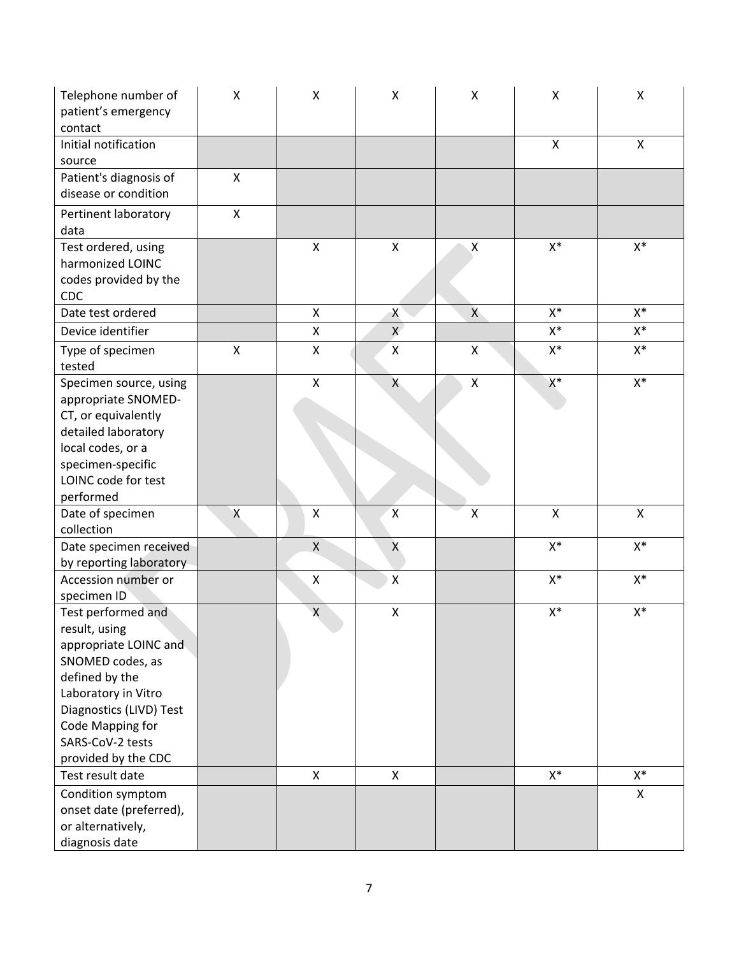| Telephone number of<br>patient's emergency<br>contact                                                                                                                                                               | $\pmb{\mathsf{X}}$ | Χ                  | $\pmb{\mathsf{X}}$ | X                  | Χ              | X              |
|---------------------------------------------------------------------------------------------------------------------------------------------------------------------------------------------------------------------|--------------------|--------------------|--------------------|--------------------|----------------|----------------|
| Initial notification<br>source                                                                                                                                                                                      |                    |                    |                    |                    | X              | X              |
| Patient's diagnosis of<br>disease or condition                                                                                                                                                                      | X                  |                    |                    |                    |                |                |
| Pertinent laboratory<br>data                                                                                                                                                                                        | $\pmb{\mathsf{X}}$ |                    |                    |                    |                |                |
| Test ordered, using<br>harmonized LOINC<br>codes provided by the<br><b>CDC</b>                                                                                                                                      |                    | X                  | X                  | X                  | $X^*$          | $X^*$          |
| Date test ordered                                                                                                                                                                                                   |                    | $\mathsf{X}$       | X                  | X                  | $X^*$          | $\mathsf{X}^*$ |
| Device identifier                                                                                                                                                                                                   |                    | X                  | $\mathsf{X}$       |                    | $X^*$          | $\mathsf{X}^*$ |
| Type of specimen<br>tested                                                                                                                                                                                          | $\pmb{\mathsf{X}}$ | X                  | $\pmb{\mathsf{X}}$ | X                  | $X^*$          | X*             |
| Specimen source, using<br>appropriate SNOMED-<br>CT, or equivalently<br>detailed laboratory<br>local codes, or a<br>specimen-specific<br>LOINC code for test                                                        |                    | $\mathsf{X}$       | X                  | $\pmb{\times}$     | $\mathsf{X}^*$ | $\mathsf{X}^*$ |
| performed                                                                                                                                                                                                           |                    |                    |                    |                    |                |                |
| Date of specimen<br>collection                                                                                                                                                                                      | Χ                  | Χ                  | $\mathsf{X}$       | $\pmb{\mathsf{X}}$ | $\mathsf{X}$   | $\mathsf{X}$   |
| Date specimen received                                                                                                                                                                                              |                    | $\mathsf X$        | $\pmb{\mathsf{X}}$ |                    | $X^*$          | $\mathsf{X}^*$ |
| by reporting laboratory                                                                                                                                                                                             |                    |                    |                    |                    |                |                |
| Accession number or<br>specimen ID                                                                                                                                                                                  |                    | X                  | $\pmb{\mathsf{X}}$ |                    | $X^*$          | $X^*$          |
| Test performed and<br>result, using<br>appropriate LOINC and<br>SNOMED codes, as<br>defined by the<br>Laboratory in Vitro<br>Diagnostics (LIVD) Test<br>Code Mapping for<br>SARS-CoV-2 tests<br>provided by the CDC |                    | $\pmb{\mathsf{X}}$ | $\pmb{\mathsf{X}}$ |                    | $X^*$          | $X^*$          |
| Test result date                                                                                                                                                                                                    |                    | X                  | $\pmb{\times}$     |                    | $X^*$          | $X^*$          |
| Condition symptom<br>onset date (preferred),<br>or alternatively,<br>diagnosis date                                                                                                                                 |                    |                    |                    |                    |                | X              |